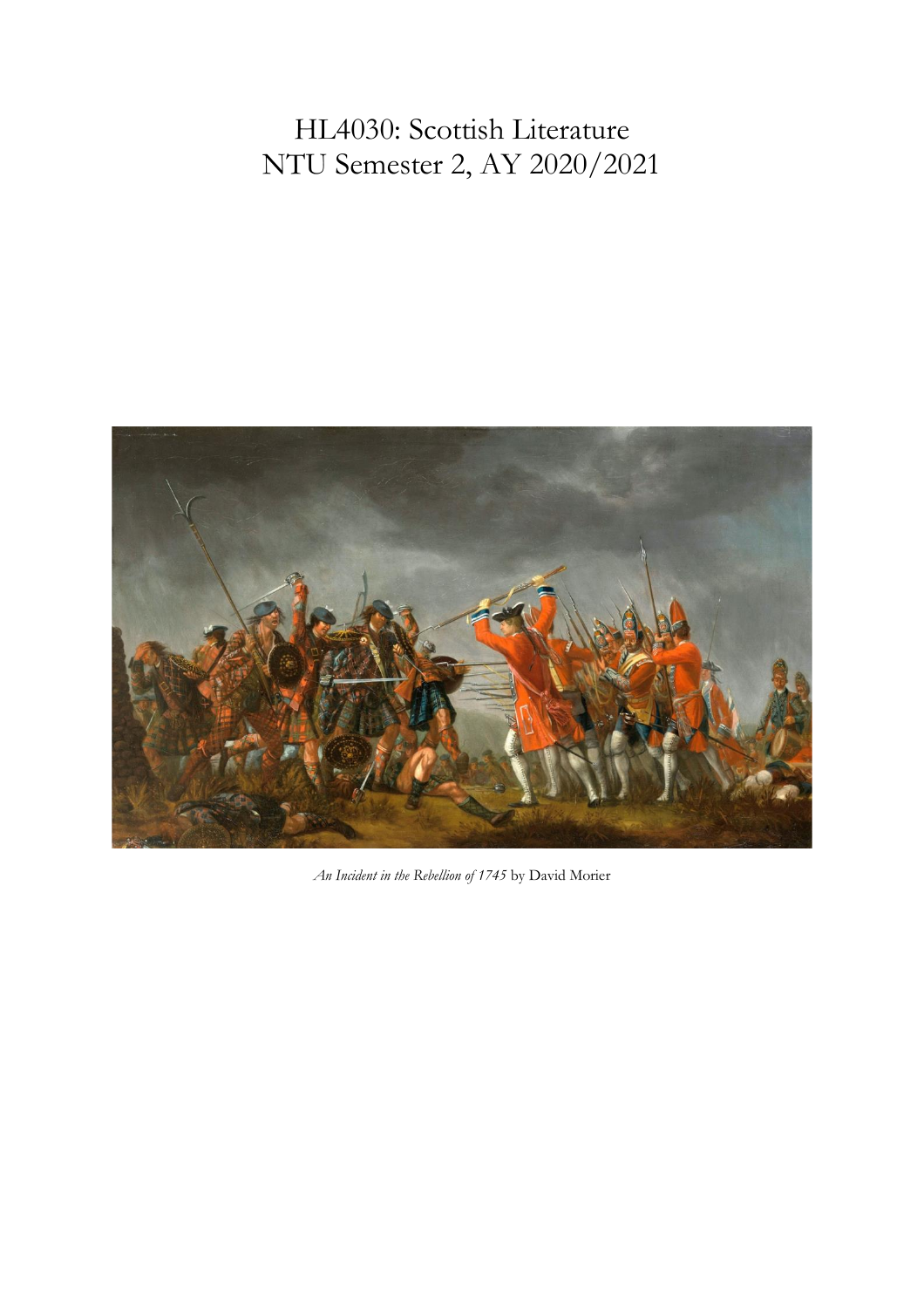# HL4030: Scottish Literature NTU Semester 2, AY 2020/2021



*An Incident in the Rebellion of 1745* by David Morier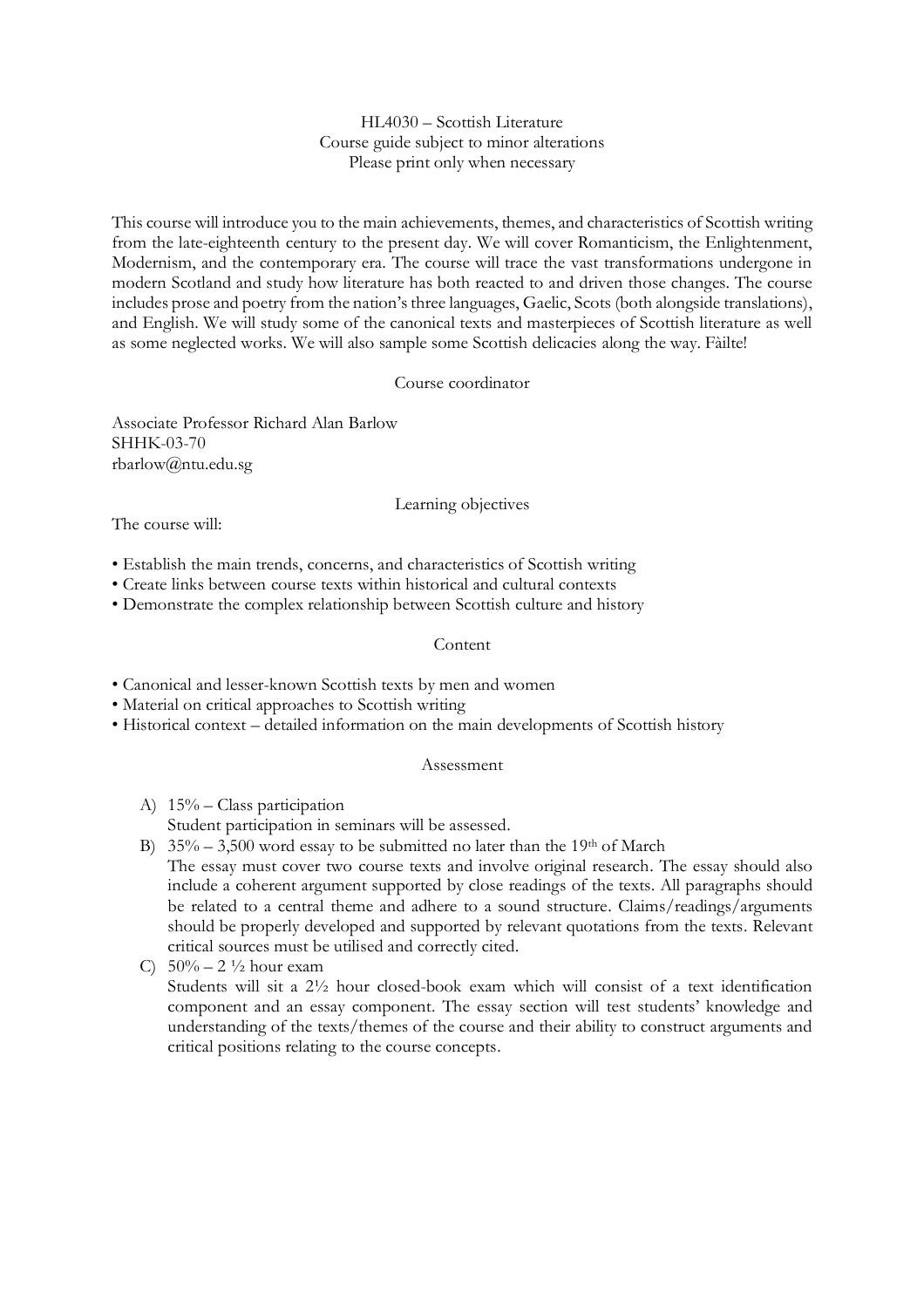## HL4030 – Scottish Literature Course guide subject to minor alterations Please print only when necessary

This course will introduce you to the main achievements, themes, and characteristics of Scottish writing from the late-eighteenth century to the present day. We will cover Romanticism, the Enlightenment, Modernism, and the contemporary era. The course will trace the vast transformations undergone in modern Scotland and study how literature has both reacted to and driven those changes. The course includes prose and poetry from the nation's three languages, Gaelic, Scots (both alongside translations), and English. We will study some of the canonical texts and masterpieces of Scottish literature as well as some neglected works. We will also sample some Scottish delicacies along the way. Fàilte!

## Course coordinator

Associate Professor Richard Alan Barlow SHHK-03-70 rbarlow@ntu.edu.sg

#### Learning objectives

The course will:

• Establish the main trends, concerns, and characteristics of Scottish writing

- Create links between course texts within historical and cultural contexts
- Demonstrate the complex relationship between Scottish culture and history

#### Content

• Canonical and lesser-known Scottish texts by men and women

- Material on critical approaches to Scottish writing
- Historical context detailed information on the main developments of Scottish history

#### Assessment

- A) 15% Class participation Student participation in seminars will be assessed.
- B)  $35\% 3,500$  word essay to be submitted no later than the 19<sup>th</sup> of March The essay must cover two course texts and involve original research. The essay should also include a coherent argument supported by close readings of the texts. All paragraphs should be related to a central theme and adhere to a sound structure. Claims/readings/arguments should be properly developed and supported by relevant quotations from the texts. Relevant critical sources must be utilised and correctly cited.
- C)  $50\% 2\frac{1}{2}$  hour exam Students will sit a 2½ hour closed-book exam which will consist of a text identification component and an essay component. The essay section will test students' knowledge and understanding of the texts/themes of the course and their ability to construct arguments and critical positions relating to the course concepts.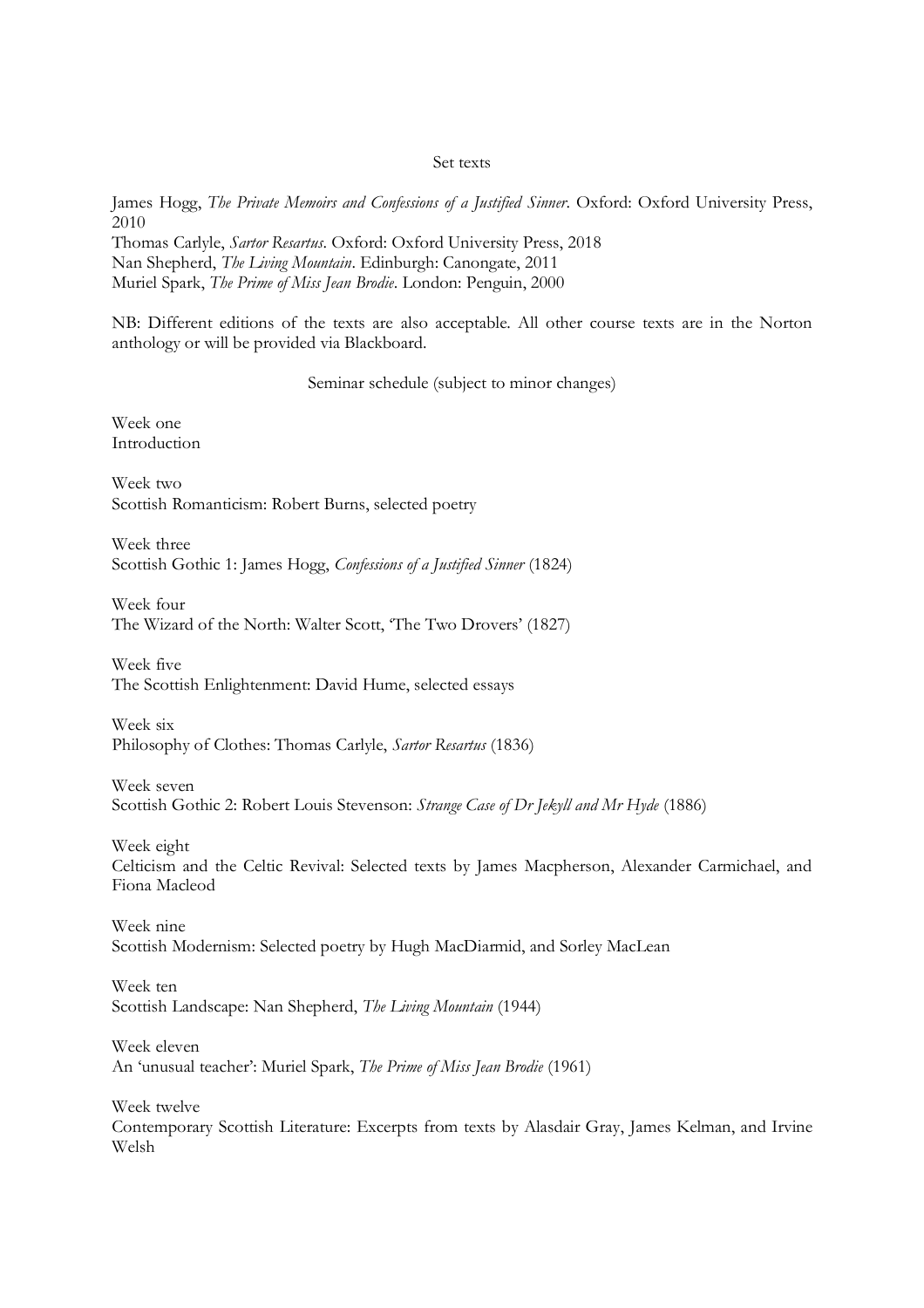#### Set texts

James Hogg, *The Private Memoirs and Confessions of a Justified Sinner*. Oxford: Oxford University Press, 2010

Thomas Carlyle, *Sartor Resartus*. Oxford: Oxford University Press, 2018 Nan Shepherd, *The Living Mountain*. Edinburgh: Canongate, 2011 Muriel Spark, *The Prime of Miss Jean Brodie*. London: Penguin, 2000

NB: Different editions of the texts are also acceptable. All other course texts are in the Norton anthology or will be provided via Blackboard.

Seminar schedule (subject to minor changes)

Week one Introduction

Week two Scottish Romanticism: Robert Burns, selected poetry

Week three Scottish Gothic 1: James Hogg, *Confessions of a Justified Sinner* (1824)

Week four The Wizard of the North: Walter Scott, 'The Two Drovers' (1827)

Week five The Scottish Enlightenment: David Hume, selected essays

Week six Philosophy of Clothes: Thomas Carlyle, *Sartor Resartus* (1836)

Week seven Scottish Gothic 2: Robert Louis Stevenson: *Strange Case of Dr Jekyll and Mr Hyde* (1886)

Week eight Celticism and the Celtic Revival: Selected texts by James Macpherson, Alexander Carmichael, and Fiona Macleod

Week nine Scottish Modernism: Selected poetry by Hugh MacDiarmid, and Sorley MacLean

Week ten Scottish Landscape: Nan Shepherd, *The Living Mountain* (1944)

Week eleven An 'unusual teacher': Muriel Spark, *The Prime of Miss Jean Brodie* (1961)

Week twelve Contemporary Scottish Literature: Excerpts from texts by Alasdair Gray, James Kelman, and Irvine Welsh